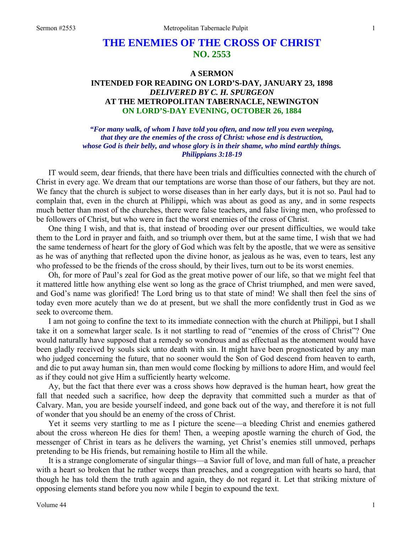# **THE ENEMIES OF THE CROSS OF CHRIST NO. 2553**

# **A SERMON INTENDED FOR READING ON LORD'S-DAY, JANUARY 23, 1898**  *DELIVERED BY C. H. SPURGEON*  **AT THE METROPOLITAN TABERNACLE, NEWINGTON ON LORD'S-DAY EVENING, OCTOBER 26, 1884**

*"For many walk, of whom I have told you often, and now tell you even weeping, that they are the enemies of the cross of Christ: whose end is destruction, whose God is their belly, and whose glory is in their shame, who mind earthly things. Philippians 3:18-19* 

IT would seem, dear friends, that there have been trials and difficulties connected with the church of Christ in every age. We dream that our temptations are worse than those of our fathers, but they are not. We fancy that the church is subject to worse diseases than in her early days, but it is not so. Paul had to complain that, even in the church at Philippi, which was about as good as any, and in some respects much better than most of the churches, there were false teachers, and false living men, who professed to be followers of Christ, but who were in fact the worst enemies of the cross of Christ.

One thing I wish, and that is, that instead of brooding over our present difficulties, we would take them to the Lord in prayer and faith, and so triumph over them, but at the same time, I wish that we had the same tenderness of heart for the glory of God which was felt by the apostle, that we were as sensitive as he was of anything that reflected upon the divine honor, as jealous as he was, even to tears, lest any who professed to be the friends of the cross should, by their lives, turn out to be its worst enemies.

Oh, for more of Paul's zeal for God as the great motive power of our life, so that we might feel that it mattered little how anything else went so long as the grace of Christ triumphed, and men were saved, and God's name was glorified! The Lord bring us to that state of mind! We shall then feel the sins of today even more acutely than we do at present, but we shall the more confidently trust in God as we seek to overcome them.

I am not going to confine the text to its immediate connection with the church at Philippi, but I shall take it on a somewhat larger scale. Is it not startling to read of "enemies of the cross of Christ"? One would naturally have supposed that a remedy so wondrous and as effectual as the atonement would have been gladly received by souls sick unto death with sin. It might have been prognosticated by any man who judged concerning the future, that no sooner would the Son of God descend from heaven to earth, and die to put away human sin, than men would come flocking by millions to adore Him, and would feel as if they could not give Him a sufficiently hearty welcome.

Ay, but the fact that there ever was a cross shows how depraved is the human heart, how great the fall that needed such a sacrifice, how deep the depravity that committed such a murder as that of Calvary. Man, you are beside yourself indeed, and gone back out of the way, and therefore it is not full of wonder that you should be an enemy of the cross of Christ.

Yet it seems very startling to me as I picture the scene—a bleeding Christ and enemies gathered about the cross whereon He dies for them! Then, a weeping apostle warning the church of God, the messenger of Christ in tears as he delivers the warning, yet Christ's enemies still unmoved, perhaps pretending to be His friends, but remaining hostile to Him all the while.

It is a strange conglomerate of singular things—a Savior full of love, and man full of hate, a preacher with a heart so broken that he rather weeps than preaches, and a congregation with hearts so hard, that though he has told them the truth again and again, they do not regard it. Let that striking mixture of opposing elements stand before you now while I begin to expound the text.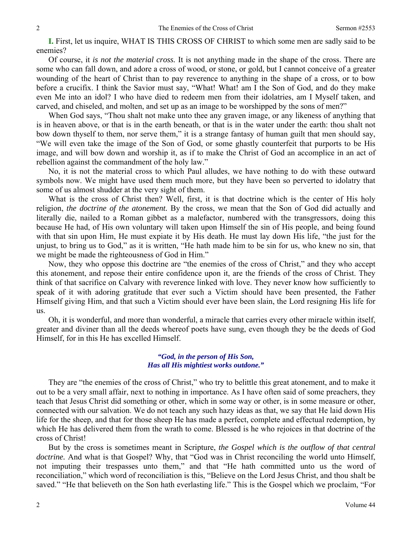**I.** First, let us inquire, WHAT IS THIS CROSS OF CHRIST to which some men are sadly said to be enemies?

Of course, it *is not the material cross.* It is not anything made in the shape of the cross. There are some who can fall down, and adore a cross of wood, or stone, or gold, but I cannot conceive of a greater wounding of the heart of Christ than to pay reverence to anything in the shape of a cross, or to bow before a crucifix. I think the Savior must say, "What! What! am I the Son of God, and do they make even Me into an idol? I who have died to redeem men from their idolatries, am I Myself taken, and carved, and chiseled, and molten, and set up as an image to be worshipped by the sons of men?"

When God says, "Thou shalt not make unto thee any graven image, or any likeness of anything that is in heaven above, or that is in the earth beneath, or that is in the water under the earth: thou shalt not bow down thyself to them, nor serve them," it is a strange fantasy of human guilt that men should say, "We will even take the image of the Son of God, or some ghastly counterfeit that purports to be His image, and will bow down and worship it, as if to make the Christ of God an accomplice in an act of rebellion against the commandment of the holy law."

No, it is not the material cross to which Paul alludes, we have nothing to do with these outward symbols now. We might have used them much more, but they have been so perverted to idolatry that some of us almost shudder at the very sight of them.

What is the cross of Christ then? Well, first, it is that doctrine which is the center of His holy religion, *the doctrine of the atonement.* By the cross, we mean that the Son of God did actually and literally die, nailed to a Roman gibbet as a malefactor, numbered with the transgressors, doing this because He had, of His own voluntary will taken upon Himself the sin of His people, and being found with that sin upon Him, He must expiate it by His death. He must lay down His life, "the just for the unjust, to bring us to God," as it is written, "He hath made him to be sin for us, who knew no sin, that we might be made the righteousness of God in Him."

Now, they who oppose this doctrine are "the enemies of the cross of Christ," and they who accept this atonement, and repose their entire confidence upon it, are the friends of the cross of Christ. They think of that sacrifice on Calvary with reverence linked with love. They never know how sufficiently to speak of it with adoring gratitude that ever such a Victim should have been presented, the Father Himself giving Him, and that such a Victim should ever have been slain, the Lord resigning His life for us.

Oh, it is wonderful, and more than wonderful, a miracle that carries every other miracle within itself, greater and diviner than all the deeds whereof poets have sung, even though they be the deeds of God Himself, for in this He has excelled Himself.

### *"God, in the person of His Son, Has all His mightiest works outdone."*

They are "the enemies of the cross of Christ," who try to belittle this great atonement, and to make it out to be a very small affair, next to nothing in importance. As I have often said of some preachers, they teach that Jesus Christ did something or other, which in some way or other, is in some measure or other, connected with our salvation. We do not teach any such hazy ideas as that, we say that He laid down His life for the sheep, and that for those sheep He has made a perfect, complete and effectual redemption, by which He has delivered them from the wrath to come. Blessed is he who rejoices in that doctrine of the cross of Christ!

But by the cross is sometimes meant in Scripture, *the Gospel which is the outflow of that central doctrine.* And what is that Gospel? Why, that "God was in Christ reconciling the world unto Himself, not imputing their trespasses unto them," and that "He hath committed unto us the word of reconciliation," which word of reconciliation is this, "Believe on the Lord Jesus Christ, and thou shalt be saved." "He that believeth on the Son hath everlasting life." This is the Gospel which we proclaim, "For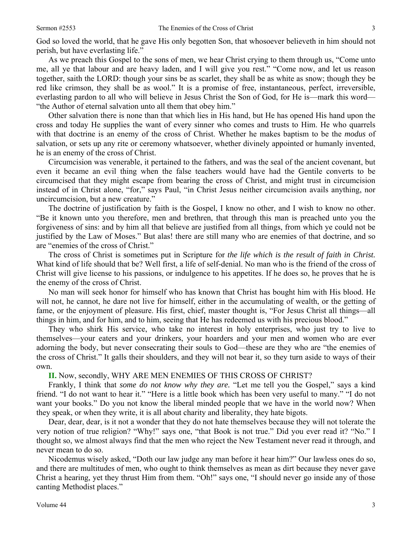God so loved the world, that he gave His only begotten Son, that whosoever believeth in him should not perish, but have everlasting life."

As we preach this Gospel to the sons of men, we hear Christ crying to them through us, "Come unto me, all ye that labour and are heavy laden, and I will give you rest." "Come now, and let us reason together, saith the LORD: though your sins be as scarlet, they shall be as white as snow; though they be red like crimson, they shall be as wool." It is a promise of free, instantaneous, perfect, irreversible, everlasting pardon to all who will believe in Jesus Christ the Son of God, for He is—mark this word— "the Author of eternal salvation unto all them that obey him."

Other salvation there is none than that which lies in His hand, but He has opened His hand upon the cross and today He supplies the want of every sinner who comes and trusts to Him. He who quarrels with that doctrine is an enemy of the cross of Christ. Whether he makes baptism to be the *modus* of salvation, or sets up any rite or ceremony whatsoever, whether divinely appointed or humanly invented, he is an enemy of the cross of Christ.

Circumcision was venerable, it pertained to the fathers, and was the seal of the ancient covenant, but even it became an evil thing when the false teachers would have had the Gentile converts to be circumcised that they might escape from bearing the cross of Christ, and might trust in circumcision instead of in Christ alone, "for," says Paul, "in Christ Jesus neither circumcision avails anything, nor uncircumcision, but a new creature."

The doctrine of justification by faith is the Gospel, I know no other, and I wish to know no other. "Be it known unto you therefore, men and brethren, that through this man is preached unto you the forgiveness of sins: and by him all that believe are justified from all things, from which ye could not be justified by the Law of Moses." But alas! there are still many who are enemies of that doctrine, and so are "enemies of the cross of Christ."

The cross of Christ is sometimes put in Scripture for *the life which is the result of faith in Christ.*  What kind of life should that be? Well first, a life of self-denial. No man who is the friend of the cross of Christ will give license to his passions, or indulgence to his appetites. If he does so, he proves that he is the enemy of the cross of Christ.

No man will seek honor for himself who has known that Christ has bought him with His blood. He will not, he cannot, he dare not live for himself, either in the accumulating of wealth, or the getting of fame, or the enjoyment of pleasure. His first, chief, master thought is, "For Jesus Christ all things—all things in him, and for him, and to him, seeing that He has redeemed us with his precious blood."

They who shirk His service, who take no interest in holy enterprises, who just try to live to themselves—your eaters and your drinkers, your hoarders and your men and women who are ever adorning the body, but never consecrating their souls to God—these are they who are "the enemies of the cross of Christ." It galls their shoulders, and they will not bear it, so they turn aside to ways of their own.

### **II.** Now, secondly, WHY ARE MEN ENEMIES OF THIS CROSS OF CHRIST?

Frankly, I think that *some do not know why they are.* "Let me tell you the Gospel," says a kind friend. "I do not want to hear it." "Here is a little book which has been very useful to many." "I do not want your books." Do you not know the liberal minded people that we have in the world now? When they speak, or when they write, it is all about charity and liberality, they hate bigots.

Dear, dear, dear, is it not a wonder that they do not hate themselves because they will not tolerate the very notion of true religion? "Why!" says one, "that Book is not true." Did you ever read it? "No." I thought so, we almost always find that the men who reject the New Testament never read it through, and never mean to do so.

Nicodemus wisely asked, "Doth our law judge any man before it hear him?" Our lawless ones do so, and there are multitudes of men, who ought to think themselves as mean as dirt because they never gave Christ a hearing, yet they thrust Him from them. "Oh!" says one, "I should never go inside any of those canting Methodist places."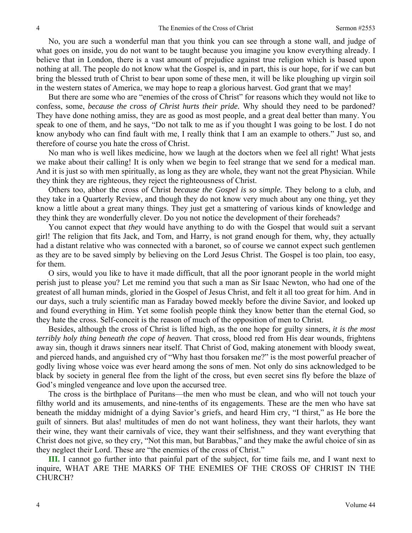No, you are such a wonderful man that you think you can see through a stone wall, and judge of what goes on inside, you do not want to be taught because you imagine you know everything already. I believe that in London, there is a vast amount of prejudice against true religion which is based upon nothing at all. The people do not know what the Gospel is, and in part, this is our hope, for if we can but bring the blessed truth of Christ to bear upon some of these men, it will be like ploughing up virgin soil in the western states of America, we may hope to reap a glorious harvest. God grant that we may!

But there are some who are "enemies of the cross of Christ" for reasons which they would not like to confess, some, *because the cross of Christ hurts their pride.* Why should they need to be pardoned? They have done nothing amiss, they are as good as most people, and a great deal better than many. You speak to one of them, and he says, "Do not talk to me as if you thought I was going to be lost. I do not know anybody who can find fault with me, I really think that I am an example to others." Just so, and therefore of course you hate the cross of Christ.

No man who is well likes medicine, how we laugh at the doctors when we feel all right! What jests we make about their calling! It is only when we begin to feel strange that we send for a medical man. And it is just so with men spiritually, as long as they are whole, they want not the great Physician. While they think they are righteous, they reject the righteousness of Christ.

Others too, abhor the cross of Christ *because the Gospel is so simple.* They belong to a club, and they take in a Quarterly Review, and though they do not know very much about any one thing, yet they know a little about a great many things. They just get a smattering of various kinds of knowledge and they think they are wonderfully clever. Do you not notice the development of their foreheads?

You cannot expect that *they* would have anything to do with the Gospel that would suit a servant girl! The religion that fits Jack, and Tom, and Harry, is not grand enough for them, why, they actually had a distant relative who was connected with a baronet, so of course we cannot expect such gentlemen as they are to be saved simply by believing on the Lord Jesus Christ. The Gospel is too plain, too easy, for them.

O sirs, would you like to have it made difficult, that all the poor ignorant people in the world might perish just to please you? Let me remind you that such a man as Sir Isaac Newton, who had one of the greatest of all human minds, gloried in the Gospel of Jesus Christ, and felt it all too great for him. And in our days, such a truly scientific man as Faraday bowed meekly before the divine Savior, and looked up and found everything in Him. Yet some foolish people think they know better than the eternal God, so they hate the cross. Self-conceit is the reason of much of the opposition of men to Christ.

Besides, although the cross of Christ is lifted high, as the one hope for guilty sinners, *it is the most terribly holy thing beneath the cope of heaven.* That cross, blood red from His dear wounds, frightens away sin, though it draws sinners near itself. That Christ of God, making atonement with bloody sweat, and pierced hands, and anguished cry of "Why hast thou forsaken me?" is the most powerful preacher of godly living whose voice was ever heard among the sons of men. Not only do sins acknowledged to be black by society in general flee from the light of the cross, but even secret sins fly before the blaze of God's mingled vengeance and love upon the accursed tree.

The cross is the birthplace of Puritans—the men who must be clean, and who will not touch your filthy world and its amusements, and nine-tenths of its engagements. These are the men who have sat beneath the midday midnight of a dying Savior's griefs, and heard Him cry, "I thirst," as He bore the guilt of sinners. But alas! multitudes of men do not want holiness, they want their harlots, they want their wine, they want their carnivals of vice, they want their selfishness, and they want everything that Christ does not give, so they cry*,* "Not this man, but Barabbas," and they make the awful choice of sin as they neglect their Lord. These are "the enemies of the cross of Christ."

**III.** I cannot go further into that painful part of the subject, for time fails me, and I want next to inquire, WHAT ARE THE MARKS OF THE ENEMIES OF THE CROSS OF CHRIST IN THE CHURCH?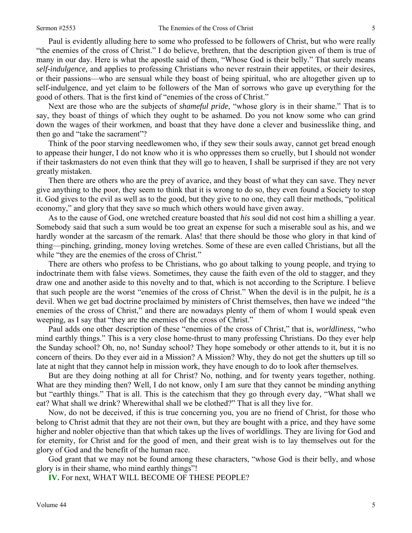Paul is evidently alluding here to some who professed to be followers of Christ, but who were really "the enemies of the cross of Christ." I do believe, brethren, that the description given of them is true of many in our day. Here is what the apostle said of them, "Whose God is their belly." That surely means *self-indulgence,* and applies to professing Christians who never restrain their appetites, or their desires, or their passions—who are sensual while they boast of being spiritual, who are altogether given up to self-indulgence, and yet claim to be followers of the Man of sorrows who gave up everything for the good of others. That is the first kind of "enemies of the cross of Christ."

Next are those who are the subjects of *shameful pride,* "whose glory is in their shame." That is to say, they boast of things of which they ought to be ashamed. Do you not know some who can grind down the wages of their workmen, and boast that they have done a clever and businesslike thing, and then go and "take the sacrament"?

Think of the poor starving needlewomen who, if they sew their souls away, cannot get bread enough to appease their hunger, I do not know who it is who oppresses them so cruelly, but I should not wonder if their taskmasters do not even think that they will go to heaven, I shall be surprised if they are not very greatly mistaken.

Then there are others who are the prey of avarice, and they boast of what they can save. They never give anything to the poor, they seem to think that it is wrong to do so, they even found a Society to stop it. God gives to the evil as well as to the good, but they give to no one, they call their methods, "political economy," and glory that they save so much which others would have given away.

As to the cause of God, one wretched creature boasted that *his* soul did not cost him a shilling a year. Somebody said that such a sum would be too great an expense for such a miserable soul as his, and we hardly wonder at the sarcasm of the remark. Alas! that there should be those who glory in that kind of thing—pinching, grinding, money loving wretches. Some of these are even called Christians, but all the while "they are the enemies of the cross of Christ."

There are others who profess to be Christians, who go about talking to young people, and trying to indoctrinate them with false views. Sometimes, they cause the faith even of the old to stagger, and they draw one and another aside to this novelty and to that, which is not according to the Scripture. I believe that such people are the worst "enemies of the cross of Christ." When the devil is in the pulpit, he *is* a devil. When we get bad doctrine proclaimed by ministers of Christ themselves, then have we indeed "the enemies of the cross of Christ," and there are nowadays plenty of them of whom I would speak even weeping, as I say that "they are the enemies of the cross of Christ."

Paul adds one other description of these "enemies of the cross of Christ," that is, *worldliness,* "who mind earthly things." This is a very close home-thrust to many professing Christians. Do they ever help the Sunday school? Oh, no, no! Sunday school? They hope somebody or other attends to it, but it is no concern of theirs. Do they ever aid in a Mission? A Mission? Why, they do not get the shutters up till so late at night that they cannot help in mission work, they have enough to do to look after themselves.

But are they doing nothing at all for Christ? No, nothing, and for twenty years together, nothing. What are they minding then? Well, I do not know, only I am sure that they cannot be minding anything but "earthly things." That is all. This is the catechism that they go through every day, "What shall we eat? What shall we drink? Wherewithal shall we be clothed?" That is all they live for.

Now, do not be deceived, if this is true concerning you, you are no friend of Christ, for those who belong to Christ admit that they are not their own, but they are bought with a price, and they have some higher and nobler objective than that which takes up the lives of worldlings. They are living for God and for eternity, for Christ and for the good of men, and their great wish is to lay themselves out for the glory of God and the benefit of the human race.

God grant that we may not be found among these characters, "whose God is their belly, and whose glory is in their shame, who mind earthly things"!

**IV.** For next, WHAT WILL BECOME OF THESE PEOPLE?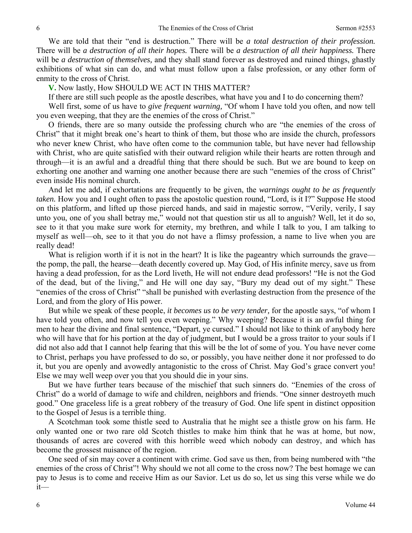We are told that their "end is destruction." There will be *a total destruction of their profession.*  There will be *a destruction of all their hopes.* There will be *a destruction of all their happiness.* There will be *a destruction of themselves,* and they shall stand forever as destroyed and ruined things, ghastly exhibitions of what sin can do, and what must follow upon a false profession, or any other form of enmity to the cross of Christ.

**V.** Now lastly, How SHOULD WE ACT IN THIS MATTER?

If there are still such people as the apostle describes, what have you and I to do concerning them?

Well first, some of us have to *give frequent warning,* "Of whom I have told you often, and now tell you even weeping, that they are the enemies of the cross of Christ."

O friends, there are so many outside the professing church who are "the enemies of the cross of Christ" that it might break one's heart to think of them, but those who are inside the church, professors who never knew Christ, who have often come to the communion table, but have never had fellowship with Christ, who are quite satisfied with their outward religion while their hearts are rotten through and through—it is an awful and a dreadful thing that there should be such. But we are bound to keep on exhorting one another and warning one another because there are such "enemies of the cross of Christ" even inside His nominal church.

And let me add, if exhortations are frequently to be given, the *warnings ought to be as frequently taken.* How you and I ought often to pass the apostolic question round, "Lord*,* is it I?" Suppose He stood on this platform, and lifted up those pierced hands, and said in majestic sorrow, "Verily, verily, I say unto you, one of you shall betray me," would not that question stir us all to anguish? Well, let it do so, see to it that you make sure work for eternity, my brethren, and while I talk to you, I am talking to myself as well—oh, see to it that you do not have a flimsy profession, a name to live when you are really dead!

What is religion worth if it is not in the heart? It is like the pageantry which surrounds the grave the pomp, the pall, the hearse—death decently covered up. May God, of His infinite mercy, save us from having a dead profession, for as the Lord liveth, He will not endure dead professors! "He is not the God of the dead, but of the living," and He will one day say, "Bury my dead out of my sight." These "enemies of the cross of Christ" "shall be punished with everlasting destruction from the presence of the Lord, and from the glory of His power.

But while we speak of these people, *it becomes us to be very tender,* for the apostle says, "of whom I have told you often, and now tell you even weeping." Why weeping? Because it is an awful thing for men to hear the divine and final sentence, "Depart, ye cursed." I should not like to think of anybody here who will have that for his portion at the day of judgment, but I would be a gross traitor to your souls if I did not also add that I cannot help fearing that this will be the lot of some of you. You have never come to Christ, perhaps you have professed to do so, or possibly, you have neither done it nor professed to do it, but you are openly and avowedly antagonistic to the cross of Christ. May God's grace convert you! Else we may well weep over you that you should die in your sins.

But we have further tears because of the mischief that such sinners do. "Enemies of the cross of Christ" do a world of damage to wife and children, neighbors and friends. "One sinner destroyeth much good." One graceless life is a great robbery of the treasury of God. One life spent in distinct opposition to the Gospel of Jesus is a terrible thing.

A Scotchman took some thistle seed to Australia that he might see a thistle grow on his farm. He only wanted one or two rare old Scotch thistles to make him think that he was at home, but now, thousands of acres are covered with this horrible weed which nobody can destroy, and which has become the grossest nuisance of the region.

One seed of sin may cover a continent with crime. God save us then, from being numbered with "the enemies of the cross of Christ"! Why should we not all come to the cross now? The best homage we can pay to Jesus is to come and receive Him as our Savior. Let us do so, let us sing this verse while we do it—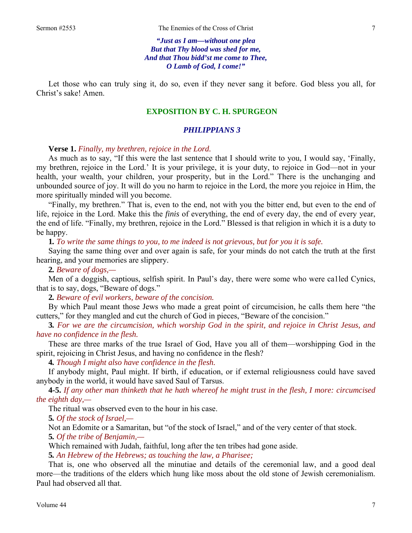*"Just as I am—without one plea But that Thy blood was shed for me, And that Thou bidd'st me come to Thee, O Lamb of God, I come!"* 

Let those who can truly sing it, do so, even if they never sang it before. God bless you all, for Christ's sake! Amen.

# **EXPOSITION BY C. H. SPURGEON**

## *PHILIPPIANS 3*

## **Verse 1.** *Finally, my brethren, rejoice in the Lord.*

As much as to say, "If this were the last sentence that I should write to you, I would say, 'Finally, my brethren, rejoice in the Lord.' It is your privilege, it is your duty, to rejoice in God—not in your health, your wealth, your children, your prosperity, but in the Lord." There is the unchanging and unbounded source of joy. It will do you no harm to rejoice in the Lord, the more you rejoice in Him, the more spiritually minded will you become.

"Finally, my brethren." That is, even to the end, not with you the bitter end, but even to the end of life, rejoice in the Lord. Make this the *finis* of everything, the end of every day, the end of every year, the end of life. "Finally, my brethren, rejoice in the Lord." Blessed is that religion in which it is a duty to be happy.

**1***. To write the same things to you, to me indeed is not grievous, but for you it is safe.* 

Saying the same thing over and over again is safe, for your minds do not catch the truth at the first hearing, and your memories are slippery.

**2***. Beware of dogs,—* 

Men of a doggish, captious, selfish spirit. In Paul's day, there were some who were ca1led Cynics, that is to say, dogs, "Beware of dogs."

**2***. Beware of evil workers, beware of the concision.* 

By which Paul meant those Jews who made a great point of circumcision, he calls them here "the cutters," for they mangled and cut the church of God in pieces, "Beware of the concision."

**3***. For we are the circumcision, which worship God in the spirit, and rejoice in Christ Jesus, and have no confidence in the flesh.* 

These are three marks of the true Israel of God, Have you all of them—worshipping God in the spirit, rejoicing in Christ Jesus, and having no confidence in the flesh?

**4***. Though I might also have confidence in the flesh.* 

If anybody might, Paul might. If birth, if education, or if external religiousness could have saved anybody in the world, it would have saved Saul of Tarsus.

**4-5.** *If any other man thinketh that he hath whereof he might trust in the flesh, I more: circumcised the eighth day,—* 

The ritual was observed even to the hour in his case.

**5***. Of the stock of Israel,—* 

Not an Edomite or a Samaritan, but "of the stock of Israel," and of the very center of that stock. **5***. Of the tribe of Benjamin,—* 

Which remained with Judah, faithful, long after the ten tribes had gone aside.

**5***. An Hebrew of the Hebrews; as touching the law, a Pharisee;* 

That is, one who observed all the minutiae and details of the ceremonial law, and a good deal more—the traditions of the elders which hung like moss about the old stone of Jewish ceremonialism. Paul had observed all that.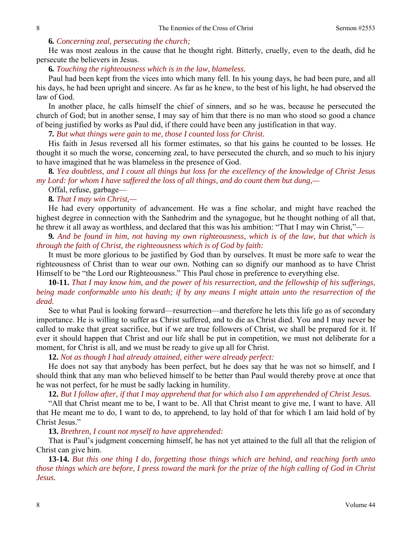## **6***. Concerning zeal, persecuting the church;*

He was most zealous in the cause that he thought right. Bitterly, cruelly, even to the death, did he persecute the believers in Jesus.

#### **6***. Touching the righteousness which is in the law, blameless.*

Paul had been kept from the vices into which many fell. In his young days, he had been pure, and all his days, he had been upright and sincere. As far as he knew, to the best of his light, he had observed the law of God.

In another place, he calls himself the chief of sinners, and so he was, because he persecuted the church of God; but in another sense, I may say of him that there is no man who stood so good a chance of being justified by works as Paul did, if there could have been any justification in that way.

**7***. But what things were gain to me, those I counted loss for Christ.* 

His faith in Jesus reversed all his former estimates, so that his gains he counted to be losses. He thought it so much the worse, concerning zeal, to have persecuted the church, and so much to his injury to have imagined that he was blameless in the presence of God.

**8***. Yea doubtless, and I count all things but loss for the excellency of the knowledge of Christ Jesus my Lord: for whom I have suffered the loss of all things, and do count them but dung,—* 

Offal, refuse, garbage—

# **8***. That I may win Christ,—*

He had every opportunity of advancement. He was a fine scholar, and might have reached the highest degree in connection with the Sanhedrim and the synagogue, but he thought nothing of all that, he threw it all away as worthless, and declared that this was his ambition: "That I may win Christ,"—

**9***. And be found in him, not having my own righteousness, which is of the law, but that which is through the faith of Christ, the righteousness which is of God by faith:* 

It must be more glorious to be justified by God than by ourselves. It must be more safe to wear the righteousness of Christ than to wear our own. Nothing can so dignify our manhood as to have Christ Himself to be "the Lord our Righteousness." This Paul chose in preference to everything else.

**10-11.** *That I may know him, and the power of his resurrection, and the fellowship of his sufferings, being made conformable unto his death; if by any means I might attain unto the resurrection of the dead.* 

See to what Paul is looking forward—resurrection—and therefore he lets this life go as of secondary importance. He is willing to suffer as Christ suffered, and to die as Christ died. You and I may never be called to make that great sacrifice, but if we are true followers of Christ, we shall be prepared for it. If ever it should happen that Christ and our life shall be put in competition, we must not deliberate for a moment, for Christ is all, and we must be ready to give up all for Christ.

**12.** *Not as though I had already attained, either were already perfect:* 

He does not say that anybody has been perfect, but he does say that he was not so himself, and I should think that any man who believed himself to be better than Paul would thereby prove at once that he was not perfect, for he must be sadly lacking in humility.

## **12.** *But I follow after, if that I may apprehend that for which also I am apprehended of Christ Jesus.*

"All that Christ meant me to be, I want to be. All that Christ meant to give me, I want to have. All that He meant me to do, I want to do, to apprehend, to lay hold of that for which I am laid hold of by Christ Jesus."

## **13.** *Brethren, I count not myself to have apprehended:*

That is Paul's judgment concerning himself, he has not yet attained to the full all that the religion of Christ can give him.

**13-14.** *But this one thing I do, forgetting those things which are behind, and reaching forth unto those things which are before, I press toward the mark for the prize of the high calling of God in Christ Jesus.*